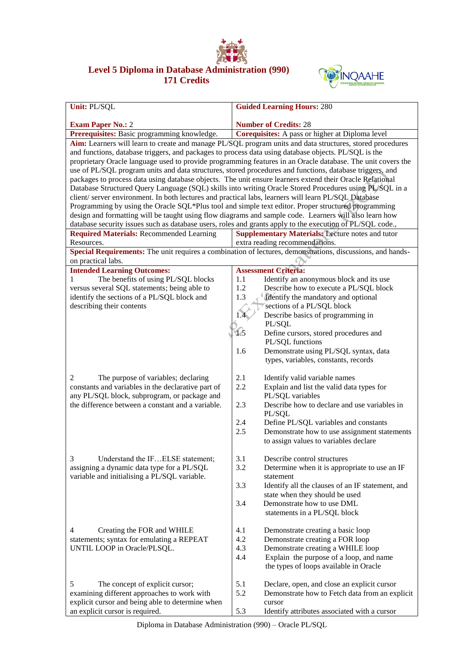

## **Level 5 Diploma in Database Administration (990) 171 Credits**



| Unit: PL/SQL                                                                                                                                                                                                      | <b>Guided Learning Hours: 280</b>                                                                          |  |  |  |
|-------------------------------------------------------------------------------------------------------------------------------------------------------------------------------------------------------------------|------------------------------------------------------------------------------------------------------------|--|--|--|
|                                                                                                                                                                                                                   |                                                                                                            |  |  |  |
| <b>Exam Paper No.: 2</b><br>Prerequisites: Basic programming knowledge.                                                                                                                                           | <b>Number of Credits: 28</b><br>Corequisites: A pass or higher at Diploma level                            |  |  |  |
|                                                                                                                                                                                                                   |                                                                                                            |  |  |  |
| Aim: Learners will learn to create and manage PL/SQL program units and data structures, stored procedures<br>and functions, database triggers, and packages to process data using database objects. PL/SQL is the |                                                                                                            |  |  |  |
| proprietary Oracle language used to provide programming features in an Oracle database. The unit covers the                                                                                                       |                                                                                                            |  |  |  |
| use of PL/SQL program units and data structures, stored procedures and functions, database triggers, and                                                                                                          |                                                                                                            |  |  |  |
| packages to process data using database objects. The unit ensure learners extend their Oracle Relational                                                                                                          |                                                                                                            |  |  |  |
| Database Structured Query Language (SQL) skills into writing Oracle Stored Procedures using PL/SQL in a                                                                                                           |                                                                                                            |  |  |  |
| client/ server environment. In both lectures and practical labs, learners will learn PL/SQL Database                                                                                                              |                                                                                                            |  |  |  |
| Programming by using the Oracle SQL*Plus tool and simple text editor. Proper structured programming                                                                                                               |                                                                                                            |  |  |  |
| design and formatting will be taught using flow diagrams and sample code. Learners will also learn how                                                                                                            |                                                                                                            |  |  |  |
| database security issues such as database users, roles and grants apply to the execution of PL/SQL code.,                                                                                                         |                                                                                                            |  |  |  |
| <b>Required Materials: Recommended Learning</b>                                                                                                                                                                   | <b>Supplementary Materials: Lecture notes and tutor</b>                                                    |  |  |  |
| Resources.                                                                                                                                                                                                        | extra reading recommendations.                                                                             |  |  |  |
| on practical labs.                                                                                                                                                                                                | Special Requirements: The unit requires a combination of lectures, demonstrations, discussions, and hands- |  |  |  |
| <b>Intended Learning Outcomes:</b>                                                                                                                                                                                | <b>Assessment Criteria:</b>                                                                                |  |  |  |
| The benefits of using PL/SQL blocks<br>1                                                                                                                                                                          | 1.1<br>Identify an anonymous block and its use                                                             |  |  |  |
| versus several SQL statements; being able to                                                                                                                                                                      | 1.2<br>Describe how to execute a PL/SQL block                                                              |  |  |  |
| identify the sections of a PL/SQL block and                                                                                                                                                                       | 1.3<br>Identify the mandatory and optional                                                                 |  |  |  |
| describing their contents                                                                                                                                                                                         | sections of a PL/SQL block                                                                                 |  |  |  |
|                                                                                                                                                                                                                   | Describe basics of programming in                                                                          |  |  |  |
|                                                                                                                                                                                                                   | PL/SQL                                                                                                     |  |  |  |
|                                                                                                                                                                                                                   | 1.5<br>Define cursors, stored procedures and                                                               |  |  |  |
|                                                                                                                                                                                                                   | PL/SQL functions                                                                                           |  |  |  |
|                                                                                                                                                                                                                   | Demonstrate using PL/SQL syntax, data<br>1.6                                                               |  |  |  |
|                                                                                                                                                                                                                   | types, variables, constants, records                                                                       |  |  |  |
| The purpose of variables; declaring<br>2                                                                                                                                                                          | 2.1<br>Identify valid variable names                                                                       |  |  |  |
| constants and variables in the declarative part of                                                                                                                                                                | 2.2<br>Explain and list the valid data types for                                                           |  |  |  |
| any PL/SQL block, subprogram, or package and                                                                                                                                                                      | PL/SQL variables                                                                                           |  |  |  |
| the difference between a constant and a variable.                                                                                                                                                                 | 2.3<br>Describe how to declare and use variables in                                                        |  |  |  |
|                                                                                                                                                                                                                   | PL/SQL                                                                                                     |  |  |  |
|                                                                                                                                                                                                                   | 2.4<br>Define PL/SQL variables and constants                                                               |  |  |  |
|                                                                                                                                                                                                                   | 2.5<br>Demonstrate how to use assignment statements                                                        |  |  |  |
|                                                                                                                                                                                                                   | to assign values to variables declare                                                                      |  |  |  |
| 3<br>Understand the IFELSE statement;                                                                                                                                                                             | 3.1<br>Describe control structures                                                                         |  |  |  |
| assigning a dynamic data type for a PL/SQL                                                                                                                                                                        | 3.2<br>Determine when it is appropriate to use an IF                                                       |  |  |  |
| variable and initialising a PL/SQL variable.                                                                                                                                                                      | statement                                                                                                  |  |  |  |
|                                                                                                                                                                                                                   | 3.3<br>Identify all the clauses of an IF statement, and                                                    |  |  |  |
|                                                                                                                                                                                                                   | state when they should be used                                                                             |  |  |  |
|                                                                                                                                                                                                                   | 3.4<br>Demonstrate how to use DML                                                                          |  |  |  |
|                                                                                                                                                                                                                   | statements in a PL/SQL block                                                                               |  |  |  |
|                                                                                                                                                                                                                   |                                                                                                            |  |  |  |
| 4<br>Creating the FOR and WHILE                                                                                                                                                                                   | 4.1<br>Demonstrate creating a basic loop                                                                   |  |  |  |
| statements; syntax for emulating a REPEAT                                                                                                                                                                         | 4.2<br>Demonstrate creating a FOR loop                                                                     |  |  |  |
| UNTIL LOOP in Oracle/PLSQL.                                                                                                                                                                                       | 4.3<br>Demonstrate creating a WHILE loop<br>4.4                                                            |  |  |  |
|                                                                                                                                                                                                                   | Explain the purpose of a loop, and name<br>the types of loops available in Oracle                          |  |  |  |
|                                                                                                                                                                                                                   |                                                                                                            |  |  |  |
| 5<br>The concept of explicit cursor;                                                                                                                                                                              | 5.1<br>Declare, open, and close an explicit cursor<br>5.2                                                  |  |  |  |
| examining different approaches to work with<br>explicit cursor and being able to determine when                                                                                                                   | Demonstrate how to Fetch data from an explicit<br>cursor                                                   |  |  |  |
| an explicit cursor is required.                                                                                                                                                                                   | 5.3<br>Identify attributes associated with a cursor                                                        |  |  |  |

Diploma in Database Administration (990) – Oracle PL/SQL